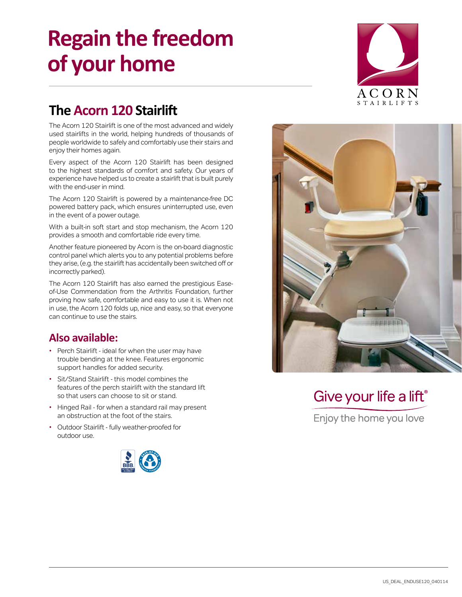# **Regain the freedom of your home**



### **The Acorn 120 Stairlift**

The Acorn 120 Stairlift is one of the most advanced and widely used stairlifts in the world, helping hundreds of thousands of people worldwide to safely and comfortably use their stairs and enjoy their homes again.

Every aspect of the Acorn 120 Stairlift has been designed to the highest standards of comfort and safety. Our years of experience have helped us to create a stairlift that is built purely with the end-user in mind.

The Acorn 120 Stairlift is powered by a maintenance-free DC powered battery pack, which ensures uninterrupted use, even in the event of a power outage.

With a built-in soft start and stop mechanism, the Acorn 120 provides a smooth and comfortable ride every time.

Another feature pioneered by Acorn is the on-board diagnostic control panel which alerts you to any potential problems before they arise, (e.g. the stairlift has accidentally been switched off or incorrectly parked).

The Acorn 120 Stairlift has also earned the prestigious Easeof-Use Commendation from the Arthritis Foundation, further proving how safe, comfortable and easy to use it is. When not in use, the Acorn 120 folds up, nice and easy, so that everyone can continue to use the stairs.

#### **Also available:**

- Perch Stairlift ideal for when the user may have trouble bending at the knee. Features ergonomic support handles for added security.
- Sit/Stand Stairlift this model combines the features of the perch stairlift with the standard lift so that users can choose to sit or stand.
- Hinged Rail for when a standard rail may present an obstruction at the foot of the stairs.
- Outdoor Stairlift fully weather-proofed for outdoor use.





## Give your life a lift<sup>®</sup>

Enjoy the home you love